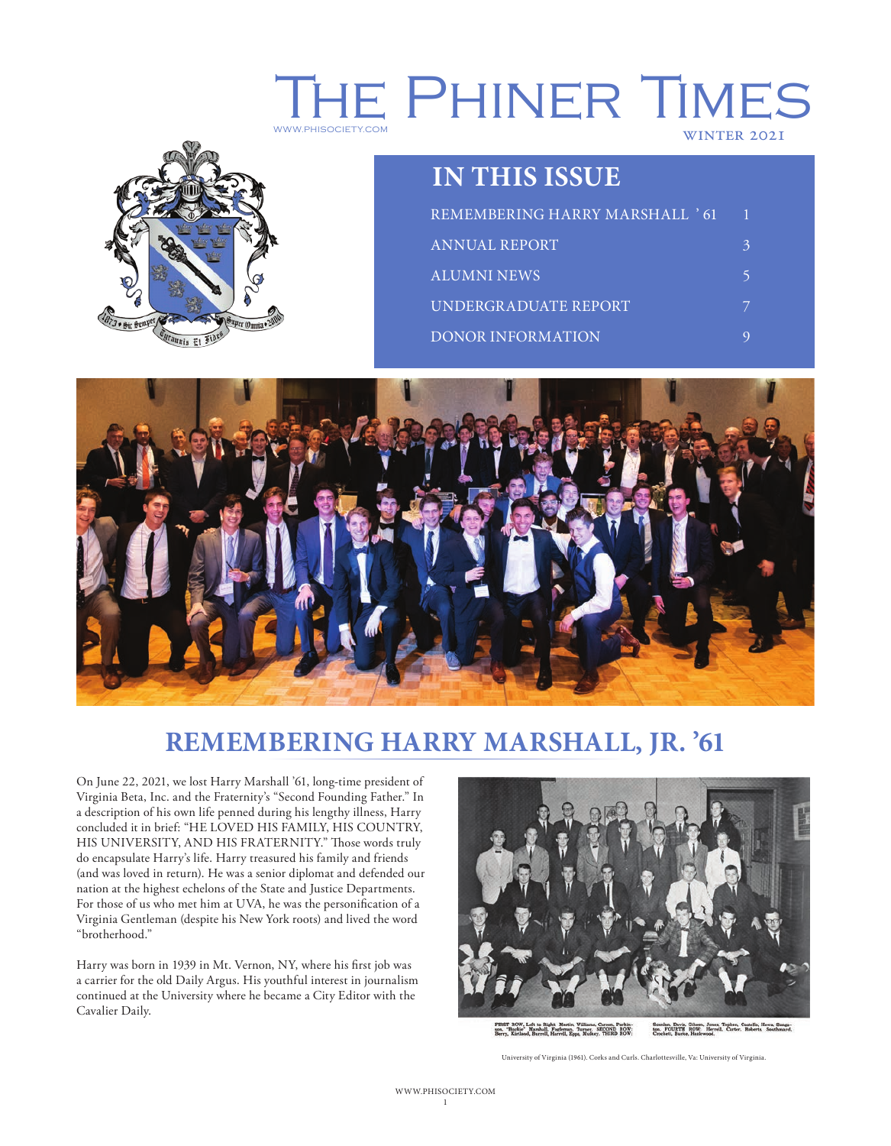# THE PHINER TIMES WINTER 2021



## **IN THIS ISSUE**

| REMEMBERING HARRY MARSHALL ' 61 |  |
|---------------------------------|--|
| ANNUAL REPORT                   |  |
| ALUMNI NEWS                     |  |
| UNDERGRADUATE REPORT            |  |
| <b>DONOR INFORMATION</b>        |  |



## **REMEMBERING HARRY MARSHALL, JR. '61**

On June 22, 2021, we lost Harry Marshall '61, long-time president of Virginia Beta, Inc. and the Fraternity's "Second Founding Father." In a description of his own life penned during his lengthy illness, Harry concluded it in brief: "HE LOVED HIS FAMILY, HIS COUNTRY, HIS UNIVERSITY, AND HIS FRATERNITY." Those words truly do encapsulate Harry's life. Harry treasured his family and friends (and was loved in return). He was a senior diplomat and defended our nation at the highest echelons of the State and Justice Departments. For those of us who met him at UVA, he was the personification of a Virginia Gentleman (despite his New York roots) and lived the word "brotherhood."

Harry was born in 1939 in Mt. Vernon, NY, where his first job was a carrier for the old Daily Argus. His youthful interest in journalism continued at the University where he became a City Editor with the Cavalier Daily.



Seanlan, Davis, Gibson, Jones, Topken, Costello, Hewa, Sunga-ton. FOURTH ROW: Herrell, Carter, Roberts, Southmayd, Crockett, Burke, Hazlewood. FIRST ROW, Left to Right: Martin, Williams, Carson, Parkin-<br>son, "Buckie" Marshall, Fogleman, Turner. SECOND ROW:<br>Berry, Kirtland, Burrell, Harrell, Epps, Mulkey. THIRD ROW:

University of Virginia (1961). Corks and Curls. Charlottesville, Va: University of Virginia.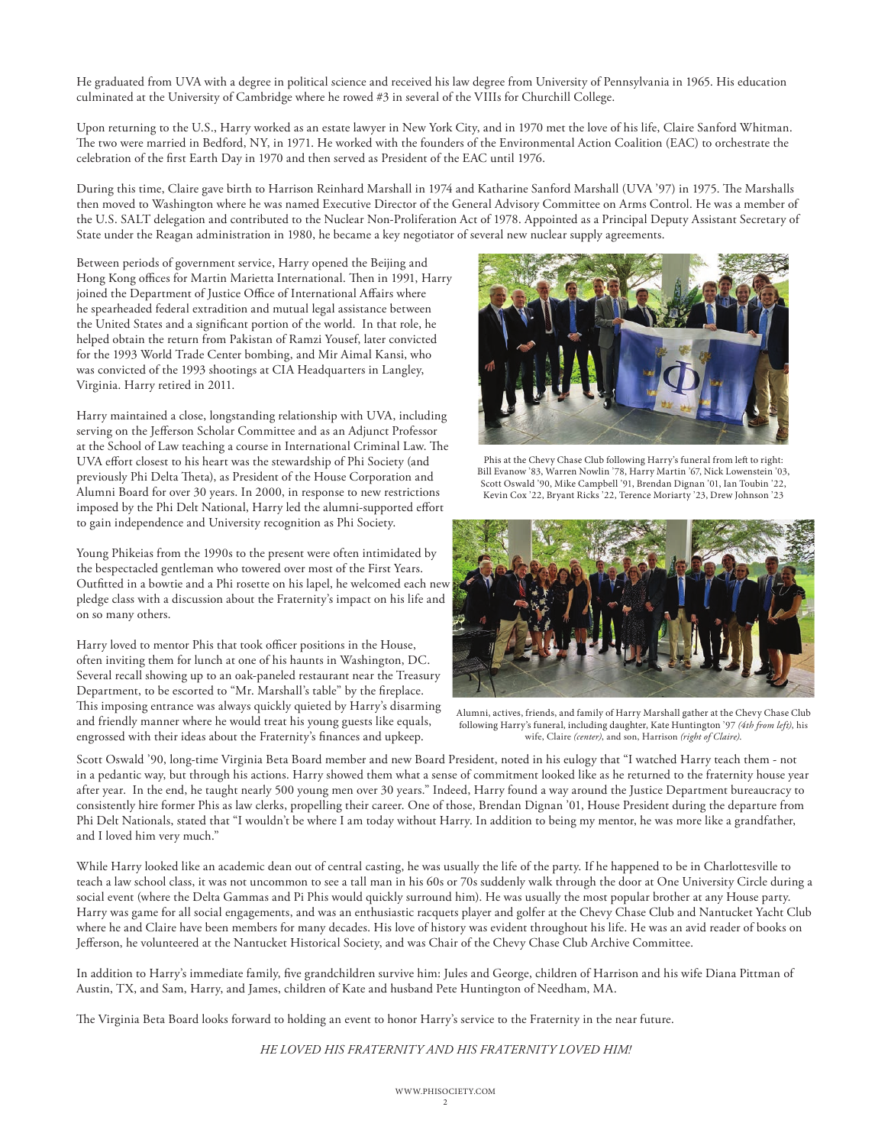He graduated from UVA with a degree in political science and received his law degree from University of Pennsylvania in 1965. His education culminated at the University of Cambridge where he rowed #3 in several of the VIIIs for Churchill College.

Upon returning to the U.S., Harry worked as an estate lawyer in New York City, and in 1970 met the love of his life, Claire Sanford Whitman. The two were married in Bedford, NY, in 1971. He worked with the founders of the Environmental Action Coalition (EAC) to orchestrate the celebration of the first Earth Day in 1970 and then served as President of the EAC until 1976.

During this time, Claire gave birth to Harrison Reinhard Marshall in 1974 and Katharine Sanford Marshall (UVA '97) in 1975. The Marshalls then moved to Washington where he was named Executive Director of the General Advisory Committee on Arms Control. He was a member of the U.S. SALT delegation and contributed to the Nuclear Non-Proliferation Act of 1978. Appointed as a Principal Deputy Assistant Secretary of State under the Reagan administration in 1980, he became a key negotiator of several new nuclear supply agreements.

Between periods of government service, Harry opened the Beijing and Hong Kong offices for Martin Marietta International. Then in 1991, Harry joined the Department of Justice Office of International Affairs where he spearheaded federal extradition and mutual legal assistance between the United States and a significant portion of the world. In that role, he helped obtain the return from Pakistan of Ramzi Yousef, later convicted for the 1993 World Trade Center bombing, and Mir Aimal Kansi, who was convicted of the 1993 shootings at CIA Headquarters in Langley, Virginia. Harry retired in 2011.

Harry maintained a close, longstanding relationship with UVA, including serving on the Jefferson Scholar Committee and as an Adjunct Professor at the School of Law teaching a course in International Criminal Law. The UVA effort closest to his heart was the stewardship of Phi Society (and previously Phi Delta Theta), as President of the House Corporation and Alumni Board for over 30 years. In 2000, in response to new restrictions imposed by the Phi Delt National, Harry led the alumni-supported effort to gain independence and University recognition as Phi Society.

Young Phikeias from the 1990s to the present were often intimidated by the bespectacled gentleman who towered over most of the First Years. Outfitted in a bowtie and a Phi rosette on his lapel, he welcomed each new pledge class with a discussion about the Fraternity's impact on his life and on so many others.

Harry loved to mentor Phis that took officer positions in the House, often inviting them for lunch at one of his haunts in Washington, DC. Several recall showing up to an oak-paneled restaurant near the Treasury Department, to be escorted to "Mr. Marshall's table" by the fireplace. This imposing entrance was always quickly quieted by Harry's disarming and friendly manner where he would treat his young guests like equals, engrossed with their ideas about the Fraternity's finances and upkeep.



Phis at the Chevy Chase Club following Harry's funeral from left to right: Bill Evanow '83, Warren Nowlin '78, Harry Martin '67, Nick Lowenstein '03, Scott Oswald '90, Mike Campbell '91, Brendan Dignan '01, Ian Toubin '22, Kevin Cox '22, Bryant Ricks '22, Terence Moriarty '23, Drew Johnson '23



Alumni, actives, friends, and family of Harry Marshall gather at the Chevy Chase Club following Harry's funeral, including daughter, Kate Huntington '97 *(4th from left)*, his wife, Claire *(center)*, and son, Harrison *(right of Claire)*.

Scott Oswald '90, long-time Virginia Beta Board member and new Board President, noted in his eulogy that "I watched Harry teach them - not in a pedantic way, but through his actions. Harry showed them what a sense of commitment looked like as he returned to the fraternity house year after year. In the end, he taught nearly 500 young men over 30 years." Indeed, Harry found a way around the Justice Department bureaucracy to consistently hire former Phis as law clerks, propelling their career. One of those, Brendan Dignan '01, House President during the departure from Phi Delt Nationals, stated that "I wouldn't be where I am today without Harry. In addition to being my mentor, he was more like a grandfather, and I loved him very much."

While Harry looked like an academic dean out of central casting, he was usually the life of the party. If he happened to be in Charlottesville to teach a law school class, it was not uncommon to see a tall man in his 60s or 70s suddenly walk through the door at One University Circle during a social event (where the Delta Gammas and Pi Phis would quickly surround him). He was usually the most popular brother at any House party. Harry was game for all social engagements, and was an enthusiastic racquets player and golfer at the Chevy Chase Club and Nantucket Yacht Club where he and Claire have been members for many decades. His love of history was evident throughout his life. He was an avid reader of books on Jefferson, he volunteered at the Nantucket Historical Society, and was Chair of the Chevy Chase Club Archive Committee.

In addition to Harry's immediate family, five grandchildren survive him: Jules and George, children of Harrison and his wife Diana Pittman of Austin, TX, and Sam, Harry, and James, children of Kate and husband Pete Huntington of Needham, MA.

The Virginia Beta Board looks forward to holding an event to honor Harry's service to the Fraternity in the near future.

*HE LOVED HIS FRATERNITY AND HIS FRATERNITY LOVED HIM!*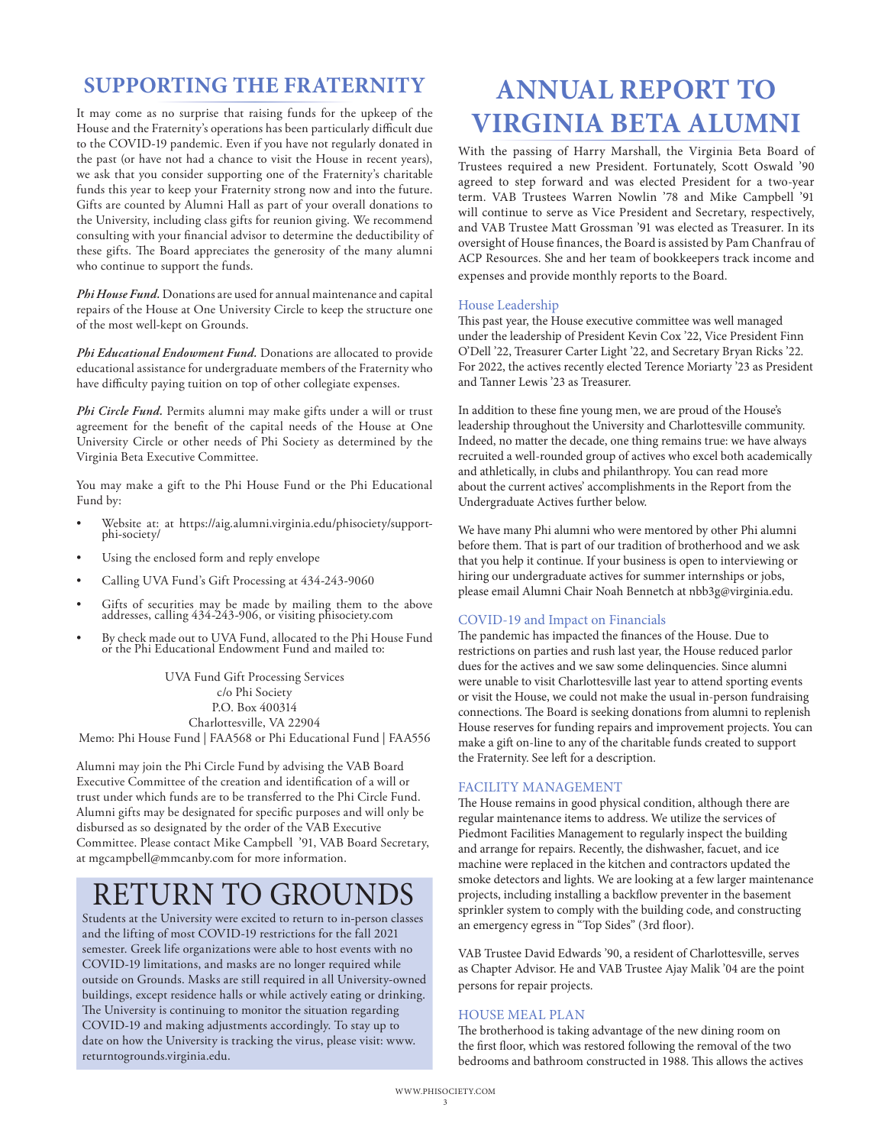## **SUPPORTING THE FRATERNITY**

It may come as no surprise that raising funds for the upkeep of the House and the Fraternity's operations has been particularly difficult due to the COVID-19 pandemic. Even if you have not regularly donated in the past (or have not had a chance to visit the House in recent years), we ask that you consider supporting one of the Fraternity's charitable funds this year to keep your Fraternity strong now and into the future. Gifts are counted by Alumni Hall as part of your overall donations to the University, including class gifts for reunion giving. We recommend consulting with your financial advisor to determine the deductibility of these gifts. The Board appreciates the generosity of the many alumni who continue to support the funds.

*Phi House Fund.* Donations are used for annual maintenance and capital repairs of the House at One University Circle to keep the structure one of the most well-kept on Grounds.

*Phi Educational Endowment Fund.* Donations are allocated to provide educational assistance for undergraduate members of the Fraternity who have difficulty paying tuition on top of other collegiate expenses.

*Phi Circle Fund.* Permits alumni may make gifts under a will or trust agreement for the benefit of the capital needs of the House at One University Circle or other needs of Phi Society as determined by the Virginia Beta Executive Committee.

You may make a gift to the Phi House Fund or the Phi Educational Fund by:

- Website at: at https://aig.alumni.virginia.edu/phisociety/support- phi-society/
- Using the enclosed form and reply envelope
- Calling UVA Fund's Gift Processing at 434-243-9060
- Gifts of securities may be made by mailing them to the above addresses, calling 434-243-906, or visiting phisociety.com
- By check made out to UVA Fund, allocated to the Phi House Fund or the Phi Educational Endowment Fund and mailed to:

UVA Fund Gift Processing Services c/o Phi Society P.O. Box 400314 Charlottesville, VA 22904 Memo: Phi House Fund | FAA568 or Phi Educational Fund | FAA556

Alumni may join the Phi Circle Fund by advising the VAB Board Executive Committee of the creation and identification of a will or trust under which funds are to be transferred to the Phi Circle Fund. Alumni gifts may be designated for specific purposes and will only be disbursed as so designated by the order of the VAB Executive Committee. Please contact Mike Campbell '91, VAB Board Secretary, at mgcampbell@mmcanby.com for more information.

# RETURN TO GROUNDS

Students at the University were excited to return to in-person classes and the lifting of most COVID-19 restrictions for the fall 2021 semester. Greek life organizations were able to host events with no COVID-19 limitations, and masks are no longer required while outside on Grounds. Masks are still required in all University-owned buildings, except residence halls or while actively eating or drinking. The University is continuing to monitor the situation regarding COVID-19 and making adjustments accordingly. To stay up to date on how the University is tracking the virus, please visit: www. returntogrounds.virginia.edu.

## **ANNUAL REPORT TO VIRGINIA BETA ALUMNI**

With the passing of Harry Marshall, the Virginia Beta Board of Trustees required a new President. Fortunately, Scott Oswald '90 agreed to step forward and was elected President for a two-year term. VAB Trustees Warren Nowlin '78 and Mike Campbell '91 will continue to serve as Vice President and Secretary, respectively, and VAB Trustee Matt Grossman '91 was elected as Treasurer. In its oversight of House finances, the Board is assisted by Pam Chanfrau of ACP Resources. She and her team of bookkeepers track income and expenses and provide monthly reports to the Board.

#### House Leadership

This past year, the House executive committee was well managed under the leadership of President Kevin Cox '22, Vice President Finn O'Dell '22, Treasurer Carter Light '22, and Secretary Bryan Ricks '22. For 2022, the actives recently elected Terence Moriarty '23 as President and Tanner Lewis '23 as Treasurer.

In addition to these fine young men, we are proud of the House's leadership throughout the University and Charlottesville community. Indeed, no matter the decade, one thing remains true: we have always recruited a well-rounded group of actives who excel both academically and athletically, in clubs and philanthropy. You can read more about the current actives' accomplishments in the Report from the Undergraduate Actives further below.

We have many Phi alumni who were mentored by other Phi alumni before them. That is part of our tradition of brotherhood and we ask that you help it continue. If your business is open to interviewing or hiring our undergraduate actives for summer internships or jobs, please email Alumni Chair Noah Bennetch at nbb3g@virginia.edu.

#### COVID-19 and Impact on Financials

The pandemic has impacted the finances of the House. Due to restrictions on parties and rush last year, the House reduced parlor dues for the actives and we saw some delinquencies. Since alumni were unable to visit Charlottesville last year to attend sporting events or visit the House, we could not make the usual in-person fundraising connections. The Board is seeking donations from alumni to replenish House reserves for funding repairs and improvement projects. You can make a gift on-line to any of the charitable funds created to support the Fraternity. See left for a description.

#### FACILITY MANAGEMENT

The House remains in good physical condition, although there are regular maintenance items to address. We utilize the services of Piedmont Facilities Management to regularly inspect the building and arrange for repairs. Recently, the dishwasher, facuet, and ice machine were replaced in the kitchen and contractors updated the smoke detectors and lights. We are looking at a few larger maintenance projects, including installing a backflow preventer in the basement sprinkler system to comply with the building code, and constructing an emergency egress in "Top Sides" (3rd floor).

VAB Trustee David Edwards '90, a resident of Charlottesville, serves as Chapter Advisor. He and VAB Trustee Ajay Malik '04 are the point persons for repair projects.

#### HOUSE MEAL PLAN

The brotherhood is taking advantage of the new dining room on the first floor, which was restored following the removal of the two bedrooms and bathroom constructed in 1988. This allows the actives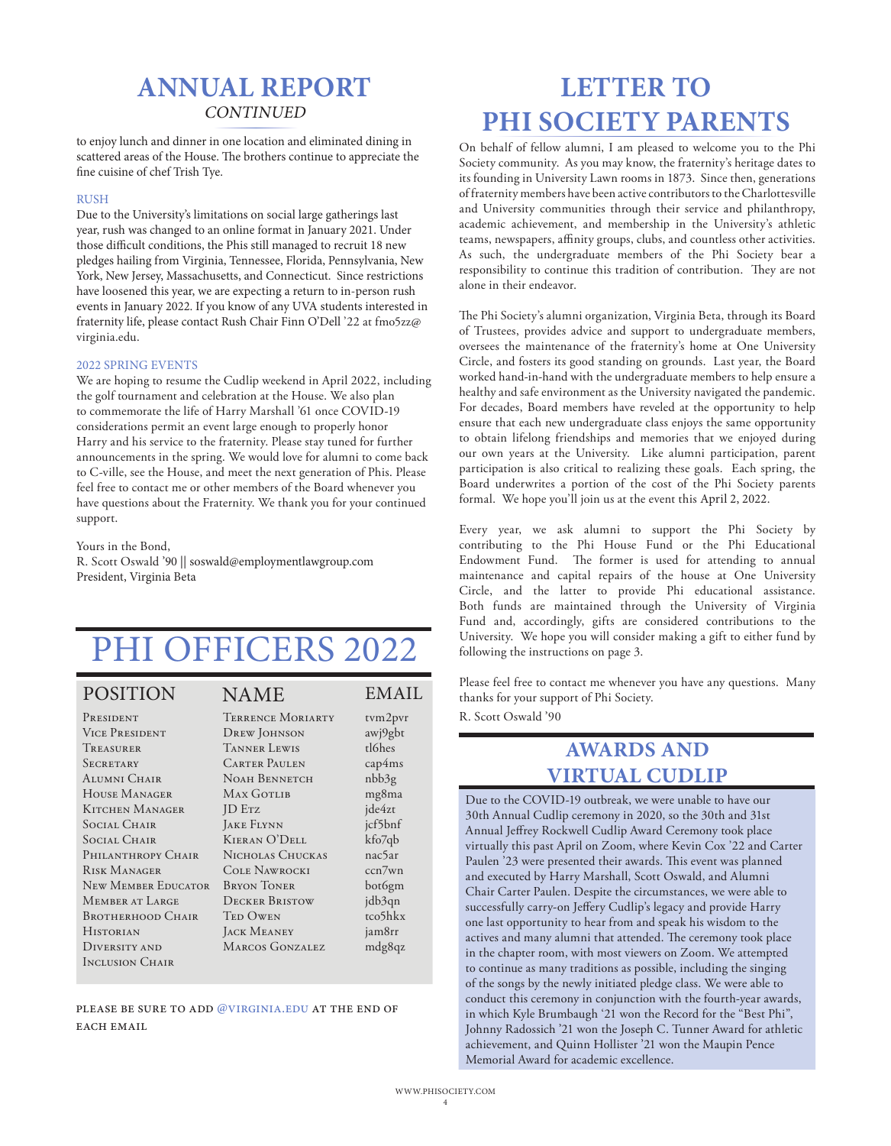## **CONTINUED ANNUAL REPORT**

to enjoy lunch and dinner in one location and eliminated dining in scattered areas of the House. The brothers continue to appreciate the fine cuisine of chef Trish Tye.

#### RUSH

Due to the University's limitations on social large gatherings last year, rush was changed to an online format in January 2021. Under those difficult conditions, the Phis still managed to recruit 18 new pledges hailing from Virginia, Tennessee, Florida, Pennsylvania, New York, New Jersey, Massachusetts, and Connecticut. Since restrictions have loosened this year, we are expecting a return to in-person rush events in January 2022. If you know of any UVA students interested in fraternity life, please contact Rush Chair Finn O'Dell '22 at fmo5zz@ virginia.edu.

#### 2022 SPRING EVENTS

We are hoping to resume the Cudlip weekend in April 2022, including the golf tournament and celebration at the House. We also plan to commemorate the life of Harry Marshall '61 once COVID-19 considerations permit an event large enough to properly honor Harry and his service to the fraternity. Please stay tuned for further announcements in the spring. We would love for alumni to come back to C-ville, see the House, and meet the next generation of Phis. Please feel free to contact me or other members of the Board whenever you have questions about the Fraternity. We thank you for your continued support.

Yours in the Bond,

R. Scott Oswald '90 || soswald@employmentlawgroup.com President, Virginia Beta

# PHI OFFICERS 2022

#### POSITION NAME EMAIL

**PRESIDENT** Vice President Treasurer **SECRETARY** ALUMNI CHAIR House Manager Kitchen Manager Social Chair Social Chair PHILANTHROPY CHAIR Risk Manager New Member Educator Member at Large BROTHERHOOD CHAIR **HISTORIAN** Diversity and Inclusion Chair

tvm2pvr awj9gbt tl6hes cap4ms nbb3g mg8ma jde4zt jcf5bnf kfo7qb nac5ar ccn7wn bot6gm jdb3qn tco5hkx jam8rr mdg8qz

| <b>TERRENCE MORIARTY</b> |
|--------------------------|
| <b>DREW JOHNSON</b>      |
| <b>TANNER LEWIS</b>      |
| <b>CARTER PAULEN</b>     |
| NOAH BENNETCH            |
| MAX GOTLIB               |
| <b>ID</b> ETZ            |
| <b>JAKE FLYNN</b>        |
| <b>KIERAN O'DELL</b>     |
| NICHOLAS CHUCKAS         |
| <b>COLE NAWROCKI</b>     |
| <b>BRYON TONER</b>       |
| <b>DECKER BRISTOW</b>    |
| <b>TED OWEN</b>          |
| <b>JACK MEANEY</b>       |
| <b>MARCOS GONZALEZ</b>   |
|                          |
|                          |

please be sure to add @virginia.edu at the end of EACH EMAIL

## **LETTER TO PHI SOCIETY PARENTS**

On behalf of fellow alumni, I am pleased to welcome you to the Phi Society community. As you may know, the fraternity's heritage dates to its founding in University Lawn rooms in 1873. Since then, generations of fraternity members have been active contributors to the Charlottesville and University communities through their service and philanthropy, academic achievement, and membership in the University's athletic teams, newspapers, affinity groups, clubs, and countless other activities. As such, the undergraduate members of the Phi Society bear a responsibility to continue this tradition of contribution. They are not alone in their endeavor.

The Phi Society's alumni organization, Virginia Beta, through its Board of Trustees, provides advice and support to undergraduate members, oversees the maintenance of the fraternity's home at One University Circle, and fosters its good standing on grounds. Last year, the Board worked hand-in-hand with the undergraduate members to help ensure a healthy and safe environment as the University navigated the pandemic. For decades, Board members have reveled at the opportunity to help ensure that each new undergraduate class enjoys the same opportunity to obtain lifelong friendships and memories that we enjoyed during our own years at the University. Like alumni participation, parent participation is also critical to realizing these goals. Each spring, the Board underwrites a portion of the cost of the Phi Society parents formal. We hope you'll join us at the event this April 2, 2022.

Every year, we ask alumni to support the Phi Society by contributing to the Phi House Fund or the Phi Educational Endowment Fund. The former is used for attending to annual maintenance and capital repairs of the house at One University Circle, and the latter to provide Phi educational assistance. Both funds are maintained through the University of Virginia Fund and, accordingly, gifts are considered contributions to the University. We hope you will consider making a gift to either fund by following the instructions on page 3.

Please feel free to contact me whenever you have any questions. Many thanks for your support of Phi Society.

R. Scott Oswald '90

### **AWARDS AND VIRTUAL CUDLIP**

Due to the COVID-19 outbreak, we were unable to have our 30th Annual Cudlip ceremony in 2020, so the 30th and 31st Annual Jeffrey Rockwell Cudlip Award Ceremony took place virtually this past April on Zoom, where Kevin Cox '22 and Carter Paulen '23 were presented their awards. This event was planned and executed by Harry Marshall, Scott Oswald, and Alumni Chair Carter Paulen. Despite the circumstances, we were able to successfully carry-on Jeffery Cudlip's legacy and provide Harry one last opportunity to hear from and speak his wisdom to the actives and many alumni that attended. The ceremony took place in the chapter room, with most viewers on Zoom. We attempted to continue as many traditions as possible, including the singing of the songs by the newly initiated pledge class. We were able to conduct this ceremony in conjunction with the fourth-year awards, in which Kyle Brumbaugh '21 won the Record for the "Best Phi", Johnny Radossich '21 won the Joseph C. Tunner Award for athletic achievement, and Quinn Hollister '21 won the Maupin Pence Memorial Award for academic excellence.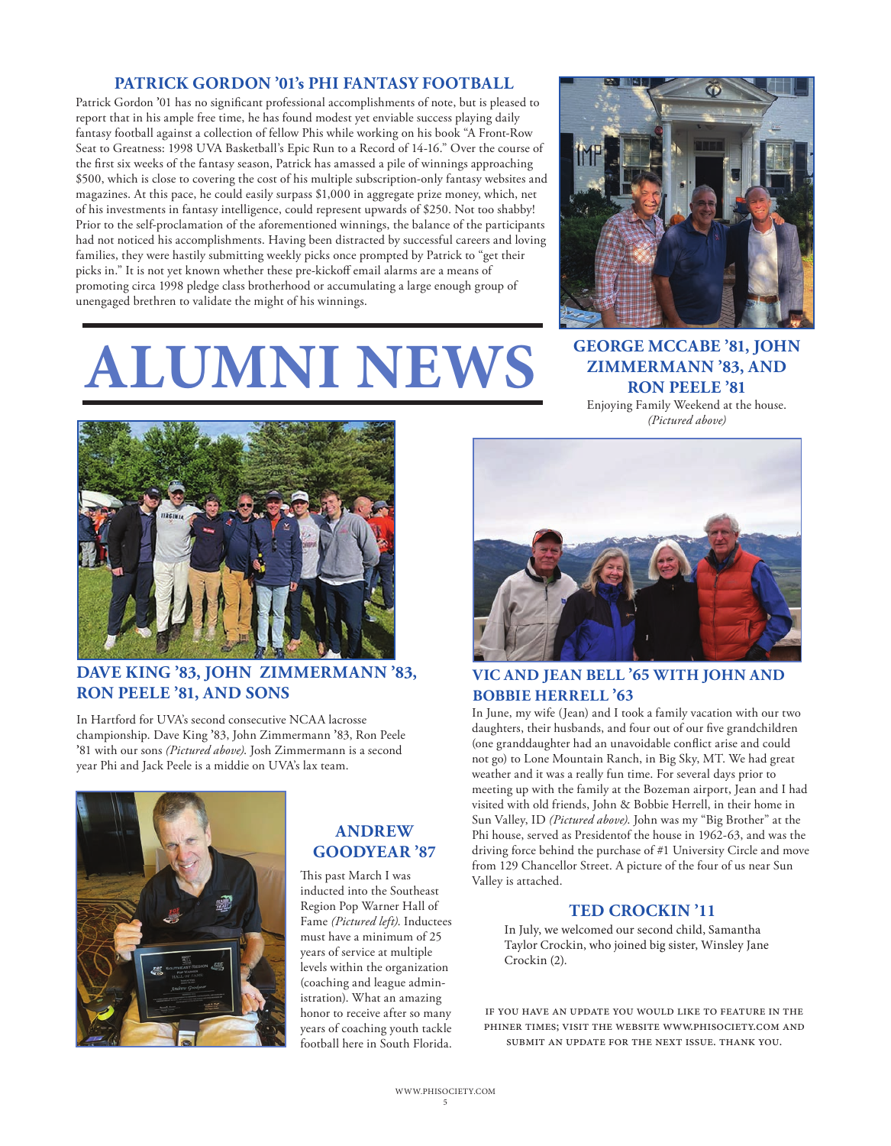#### **PATRICK GORDON '01's PHI FANTASY FOOTBALL**

Patrick Gordon **'**01 has no significant professional accomplishments of note, but is pleased to report that in his ample free time, he has found modest yet enviable success playing daily fantasy football against a collection of fellow Phis while working on his book "A Front-Row Seat to Greatness: 1998 UVA Basketball's Epic Run to a Record of 14-16." Over the course of the first six weeks of the fantasy season, Patrick has amassed a pile of winnings approaching \$500, which is close to covering the cost of his multiple subscription-only fantasy websites and magazines. At this pace, he could easily surpass \$1,000 in aggregate prize money, which, net of his investments in fantasy intelligence, could represent upwards of \$250. Not too shabby! Prior to the self-proclamation of the aforementioned winnings, the balance of the participants had not noticed his accomplishments. Having been distracted by successful careers and loving families, they were hastily submitting weekly picks once prompted by Patrick to "get their picks in." It is not yet known whether these pre-kickoff email alarms are a means of promoting circa 1998 pledge class brotherhood or accumulating a large enough group of unengaged brethren to validate the might of his winnings.

# **ALUMNI NEWS**



**GEORGE MCCABE '81, JOHN ZIMMERMANN '83, AND RON PEELE '81**

Enjoying Family Weekend at the house. *(Pictured above)*



#### **DAVE KING '83, JOHN ZIMMERMANN '83, RON PEELE '81, AND SONS**

In Hartford for UVA's second consecutive NCAA lacrosse championship. Dave King **'**83, John Zimmermann **'**83, Ron Peele **'**81 with our sons *(Pictured above)*. Josh Zimmermann is a second year Phi and Jack Peele is a middie on UVA's lax team.



#### **ANDREW GOODYEAR '87**

This past March I was inducted into the Southeast Region Pop Warner Hall of Fame *(Pictured left)*. Inductees must have a minimum of 25 years of service at multiple levels within the organization (coaching and league administration). What an amazing honor to receive after so many years of coaching youth tackle football here in South Florida.



#### **VIC AND JEAN BELL '65 WITH JOHN AND BOBBIE HERRELL '63**

In June, my wife (Jean) and I took a family vacation with our two daughters, their husbands, and four out of our five grandchildren (one granddaughter had an unavoidable conflict arise and could not go) to Lone Mountain Ranch, in Big Sky, MT. We had great weather and it was a really fun time. For several days prior to meeting up with the family at the Bozeman airport, Jean and I had visited with old friends, John & Bobbie Herrell, in their home in Sun Valley, ID *(Pictured above)*. John was my "Big Brother" at the Phi house, served as Presidentof the house in 1962-63, and was the driving force behind the purchase of #1 University Circle and move from 129 Chancellor Street. A picture of the four of us near Sun Valley is attached.

#### **TED CROCKIN '11**

In July, we welcomed our second child, Samantha Taylor Crockin, who joined big sister, Winsley Jane Crockin (2).

if you have an update you would like to feature in the phiner times; visit the website www.phisociety.com and submit an update for the next issue. thank you.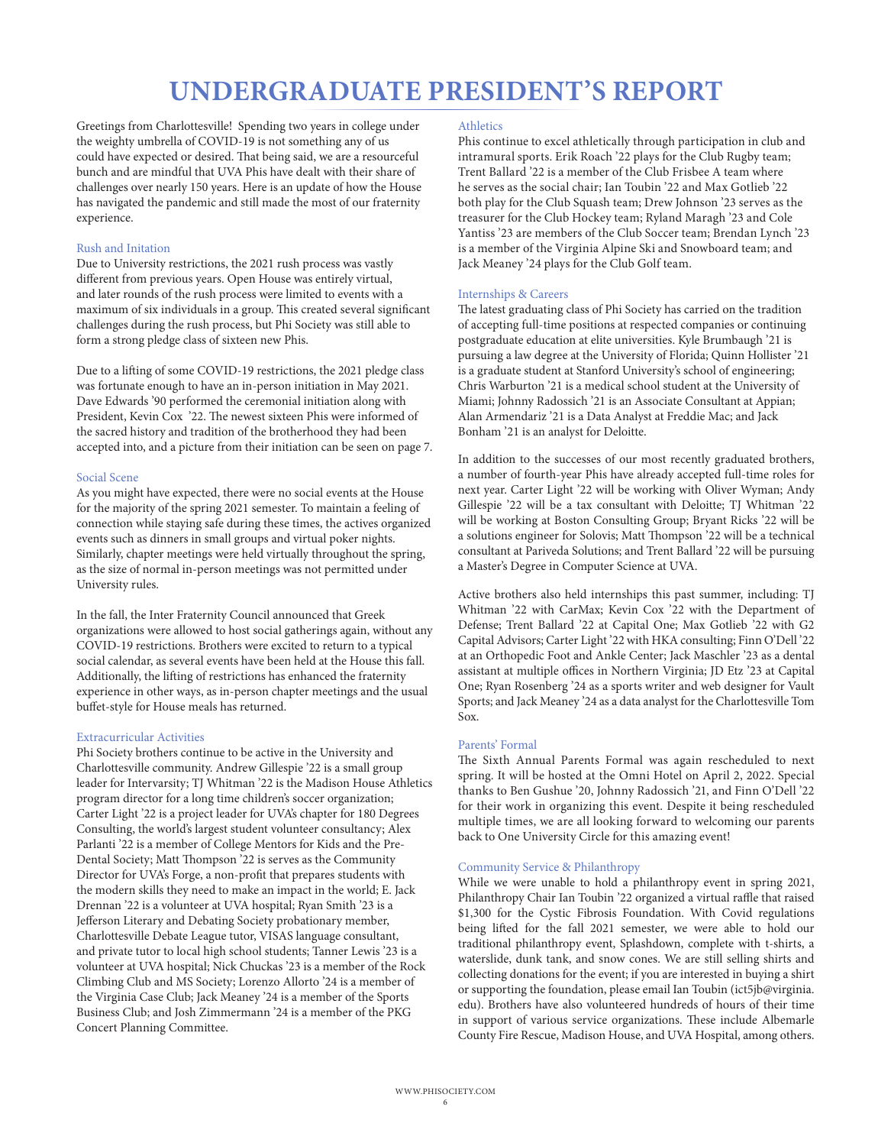## **UNDERGRADUATE PRESIDENT'S REPORT**

Greetings from Charlottesville! Spending two years in college under the weighty umbrella of COVID-19 is not something any of us could have expected or desired. That being said, we are a resourceful bunch and are mindful that UVA Phis have dealt with their share of challenges over nearly 150 years. Here is an update of how the House has navigated the pandemic and still made the most of our fraternity experience.

#### Rush and Initation

Due to University restrictions, the 2021 rush process was vastly different from previous years. Open House was entirely virtual, and later rounds of the rush process were limited to events with a maximum of six individuals in a group. This created several significant challenges during the rush process, but Phi Society was still able to form a strong pledge class of sixteen new Phis.

Due to a lifting of some COVID-19 restrictions, the 2021 pledge class was fortunate enough to have an in-person initiation in May 2021. Dave Edwards '90 performed the ceremonial initiation along with President, Kevin Cox '22. The newest sixteen Phis were informed of the sacred history and tradition of the brotherhood they had been accepted into, and a picture from their initiation can be seen on page 7.

#### Social Scene

As you might have expected, there were no social events at the House for the majority of the spring 2021 semester. To maintain a feeling of connection while staying safe during these times, the actives organized events such as dinners in small groups and virtual poker nights. Similarly, chapter meetings were held virtually throughout the spring, as the size of normal in-person meetings was not permitted under University rules.

In the fall, the Inter Fraternity Council announced that Greek organizations were allowed to host social gatherings again, without any COVID-19 restrictions. Brothers were excited to return to a typical social calendar, as several events have been held at the House this fall. Additionally, the lifting of restrictions has enhanced the fraternity experience in other ways, as in-person chapter meetings and the usual buffet-style for House meals has returned.

#### Extracurricular Activities

Phi Society brothers continue to be active in the University and Charlottesville community. Andrew Gillespie '22 is a small group leader for Intervarsity; TJ Whitman '22 is the Madison House Athletics program director for a long time children's soccer organization; Carter Light '22 is a project leader for UVA's chapter for 180 Degrees Consulting, the world's largest student volunteer consultancy; Alex Parlanti '22 is a member of College Mentors for Kids and the Pre-Dental Society; Matt Thompson '22 is serves as the Community Director for UVA's Forge, a non-profit that prepares students with the modern skills they need to make an impact in the world; E. Jack Drennan '22 is a volunteer at UVA hospital; Ryan Smith '23 is a Jefferson Literary and Debating Society probationary member, Charlottesville Debate League tutor, VISAS language consultant, and private tutor to local high school students; Tanner Lewis '23 is a volunteer at UVA hospital; Nick Chuckas '23 is a member of the Rock Climbing Club and MS Society; Lorenzo Allorto '24 is a member of the Virginia Case Club; Jack Meaney '24 is a member of the Sports Business Club; and Josh Zimmermann '24 is a member of the PKG Concert Planning Committee.

#### **Athletics**

Phis continue to excel athletically through participation in club and intramural sports. Erik Roach '22 plays for the Club Rugby team; Trent Ballard '22 is a member of the Club Frisbee A team where he serves as the social chair; Ian Toubin '22 and Max Gotlieb '22 both play for the Club Squash team; Drew Johnson '23 serves as the treasurer for the Club Hockey team; Ryland Maragh '23 and Cole Yantiss '23 are members of the Club Soccer team; Brendan Lynch '23 is a member of the Virginia Alpine Ski and Snowboard team; and Jack Meaney '24 plays for the Club Golf team.

#### Internships & Careers

The latest graduating class of Phi Society has carried on the tradition of accepting full-time positions at respected companies or continuing postgraduate education at elite universities. Kyle Brumbaugh '21 is pursuing a law degree at the University of Florida; Quinn Hollister '21 is a graduate student at Stanford University's school of engineering; Chris Warburton '21 is a medical school student at the University of Miami; Johnny Radossich '21 is an Associate Consultant at Appian; Alan Armendariz '21 is a Data Analyst at Freddie Mac; and Jack Bonham '21 is an analyst for Deloitte.

In addition to the successes of our most recently graduated brothers, a number of fourth-year Phis have already accepted full-time roles for next year. Carter Light '22 will be working with Oliver Wyman; Andy Gillespie '22 will be a tax consultant with Deloitte; TJ Whitman '22 will be working at Boston Consulting Group; Bryant Ricks '22 will be a solutions engineer for Solovis; Matt Thompson '22 will be a technical consultant at Pariveda Solutions; and Trent Ballard '22 will be pursuing a Master's Degree in Computer Science at UVA.

Active brothers also held internships this past summer, including: TJ Whitman '22 with CarMax; Kevin Cox '22 with the Department of Defense; Trent Ballard '22 at Capital One; Max Gotlieb '22 with G2 Capital Advisors; Carter Light '22 with HKA consulting; Finn O'Dell '22 at an Orthopedic Foot and Ankle Center; Jack Maschler '23 as a dental assistant at multiple offices in Northern Virginia; JD Etz '23 at Capital One; Ryan Rosenberg '24 as a sports writer and web designer for Vault Sports; and Jack Meaney '24 as a data analyst for the Charlottesville Tom Sox.

#### Parents' Formal

The Sixth Annual Parents Formal was again rescheduled to next spring. It will be hosted at the Omni Hotel on April 2, 2022. Special thanks to Ben Gushue '20, Johnny Radossich '21, and Finn O'Dell '22 for their work in organizing this event. Despite it being rescheduled multiple times, we are all looking forward to welcoming our parents back to One University Circle for this amazing event!

#### Community Service & Philanthropy

While we were unable to hold a philanthropy event in spring 2021, Philanthropy Chair Ian Toubin '22 organized a virtual raffle that raised \$1,300 for the Cystic Fibrosis Foundation. With Covid regulations being lifted for the fall 2021 semester, we were able to hold our traditional philanthropy event, Splashdown, complete with t-shirts, a waterslide, dunk tank, and snow cones. We are still selling shirts and collecting donations for the event; if you are interested in buying a shirt or supporting the foundation, please email Ian Toubin (ict5jb@virginia. edu). Brothers have also volunteered hundreds of hours of their time in support of various service organizations. These include Albemarle County Fire Rescue, Madison House, and UVA Hospital, among others.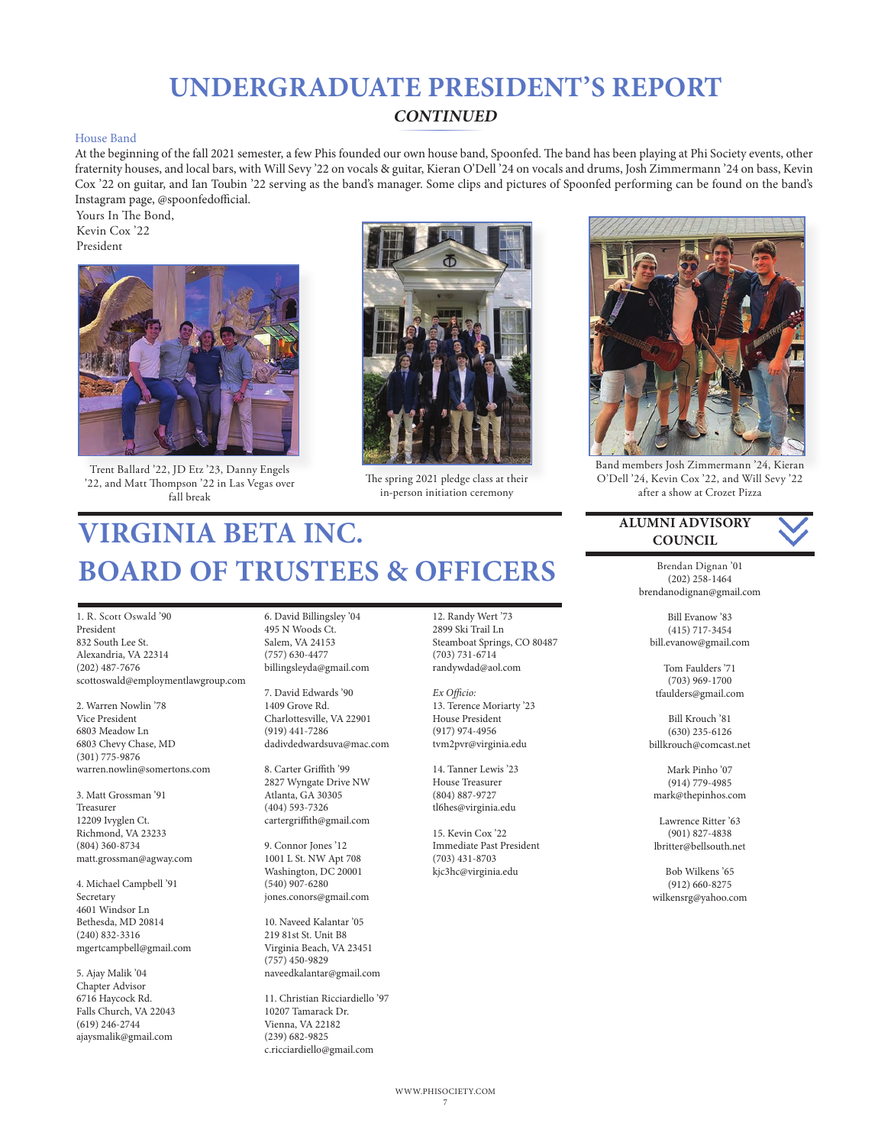## **UNDERGRADUATE PRESIDENT'S REPORT**

#### **CONTINUED**

#### House Band

At the beginning of the fall 2021 semester, a few Phis founded our own house band, Spoonfed. The band has been playing at Phi Society events, other fraternity houses, and local bars, with Will Sevy '22 on vocals & guitar, Kieran O'Dell '24 on vocals and drums, Josh Zimmermann '24 on bass, Kevin Cox '22 on guitar, and Ian Toubin '22 serving as the band's manager. Some clips and pictures of Spoonfed performing can be found on the band's Instagram page, @spoonfedofficial.

Yours In The Bond, Kevin Cox '22 President



Trent Ballard '22, JD Etz '23, Danny Engels '22, and Matt Thompson '22 in Las Vegas over fall break



The spring 2021 pledge class at their in-person initiation ceremony

# **VIRGINIA BETA INC. BOARD OF TRUSTEES & OFFICERS**

1. R. Scott Oswald '90 President 832 South Lee St. Alexandria, VA 22314 (202) 487-7676 scottoswald@employmentlawgroup.com

2. Warren Nowlin '78 Vice President 6803 Meadow Ln 6803 Chevy Chase, MD (301) 775-9876 warren.nowlin@somertons.com

3. Matt Grossman '91 Treasurer 12209 Ivyglen Ct. Richmond, VA 23233 (804) 360-8734 matt.grossman@agway.com

4. Michael Campbell '91 Secretary 4601 Windsor Ln Bethesda, MD 20814 (240) 832-3316 mgertcampbell@gmail.com

5. Ajay Malik '04 Chapter Advisor 6716 Haycock Rd. Falls Church, VA 22043 (619) 246-2744 ajaysmalik@gmail.com

6. David Billingsley '04 495 N Woods Ct. Salem, VA 24153 (757) 630-4477 billingsleyda@gmail.com

7. David Edwards '90 1409 Grove Rd. Charlottesville, VA 22901 (919) 441-7286 dadivdedwardsuva@mac.com

8. Carter Griffith '99 2827 Wyngate Drive NW Atlanta, GA 30305 (404) 593-7326 cartergriffith@gmail.com

9. Connor Jones '12 1001 L St. NW Apt 708 Washington, DC 20001 (540) 907-6280 jones.conors@gmail.com

10. Naveed Kalantar '05 219 81st St. Unit B8 Virginia Beach, VA 23451 (757) 450-9829 naveedkalantar@gmail.com

11. Christian Ricciardiello '97 10207 Tamarack Dr. Vienna, VA 22182 (239) 682-9825 c.ricciardiello@gmail.com

12. Randy Wert '73 2899 Ski Trail Ln Steamboat Springs, CO 80487 (703) 731-6714 randywdad@aol.com

*Ex Officio:* 13. Terence Moriarty '23 House President (917) 974-4956 tvm2pvr@virginia.edu

14. Tanner Lewis '23 House Treasurer (804) 887-9727 tl6hes@virginia.edu

15. Kevin Cox '22 Immediate Past President (703) 431-8703 kjc3hc@virginia.edu



Band members Josh Zimmermann '24, Kieran O'Dell '24, Kevin Cox '22, and Will Sevy '22 after a show at Crozet Pizza

**ALUMNI ADVISORY COUNCIL**



Brendan Dignan '01 (202) 258-1464 brendanodignan@gmail.com

Bill Evanow '83 (415) 717-3454 bill.evanow@gmail.com

Tom Faulders '71 (703) 969-1700 tfaulders@gmail.com

Bill Krouch '81 (630) 235-6126 billkrouch@comcast.net

Mark Pinho '07 (914) 779-4985 mark@thepinhos.com

Lawrence Ritter '63 (901) 827-4838 lbritter@bellsouth.net

Bob Wilkens '65 (912) 660-8275 wilkensrg@yahoo.com